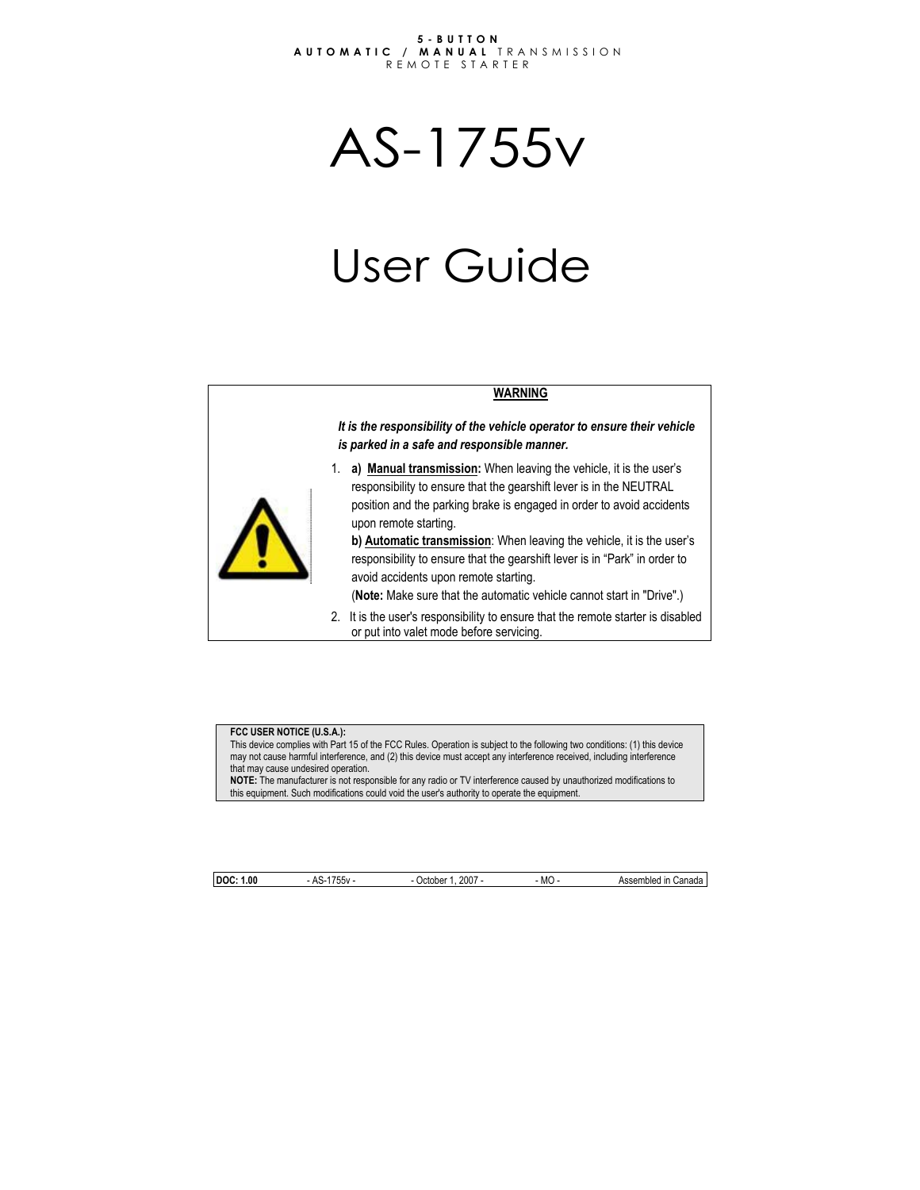#### **5-BUTTON AUTOMATIC / MANUAL** TRANSMISSION REMOTE STARTER

AS-1755v

# User Guide

#### **WARNING**

*It is the responsibility of the vehicle operator to ensure their vehicle is parked in a safe and responsible manner.* 



1. **a) Manual transmission:** When leaving the vehicle, it is the user's responsibility to ensure that the gearshift lever is in the NEUTRAL position and the parking brake is engaged in order to avoid accidents upon remote starting.

**b) Automatic transmission**: When leaving the vehicle, it is the user's responsibility to ensure that the gearshift lever is in "Park" in order to avoid accidents upon remote starting.

(**Note:** Make sure that the automatic vehicle cannot start in "Drive".)

2. It is the user's responsibility to ensure that the remote starter is disabled or put into valet mode before servicing.

#### **FCC USER NOTICE (U.S.A.):**

This device complies with Part 15 of the FCC Rules. Operation is subject to the following two conditions: (1) this device may not cause harmful interference, and (2) this device must accept any interference received, including interference that may cause undesired operation.

**NOTE:** The manufacturer is not responsible for any radio or TV interference caused by unauthorized modifications to this equipment. Such modifications could void the user's authority to operate the equipment.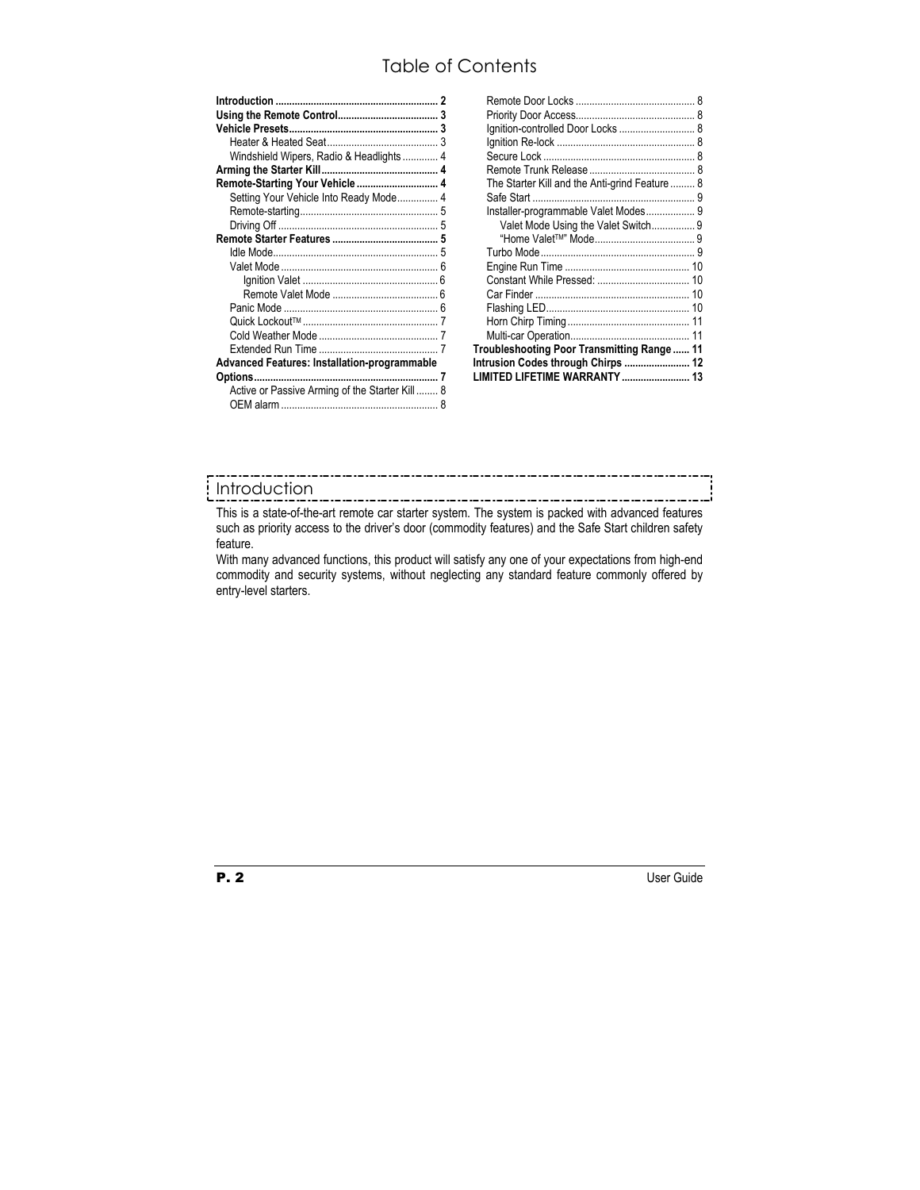# Table of Contents

| Windshield Wipers, Radio & Headlights  4       |  |
|------------------------------------------------|--|
|                                                |  |
| Remote-Starting Your Vehicle  4                |  |
| Setting Your Vehicle Into Ready Mode 4         |  |
|                                                |  |
|                                                |  |
|                                                |  |
| 5                                              |  |
|                                                |  |
|                                                |  |
|                                                |  |
|                                                |  |
|                                                |  |
|                                                |  |
|                                                |  |
| Advanced Features: Installation-programmable   |  |
|                                                |  |
| Active or Passive Arming of the Starter Kill 8 |  |
|                                                |  |
|                                                |  |

| Ignition-controlled Door Locks  8             |  |
|-----------------------------------------------|--|
|                                               |  |
|                                               |  |
|                                               |  |
| The Starter Kill and the Anti-grind Feature 8 |  |
|                                               |  |
| Installer-programmable Valet Modes 9          |  |
| Valet Mode Using the Valet Switch 9           |  |
|                                               |  |
|                                               |  |
|                                               |  |
| Constant While Pressed:  10                   |  |
|                                               |  |
|                                               |  |
|                                               |  |
|                                               |  |
| Troubleshooting Poor Transmitting Range  11   |  |
| Intrusion Codes through Chirps  12            |  |
| LIMITED LIFETIME WARRANTY  13                 |  |

# Introduction

This is a state-of-the-art remote car starter system. The system is packed with advanced features such as priority access to the driver's door (commodity features) and the Safe Start children safety feature.

With many advanced functions, this product will satisfy any one of your expectations from high-end commodity and security systems, without neglecting any standard feature commonly offered by entry-level starters.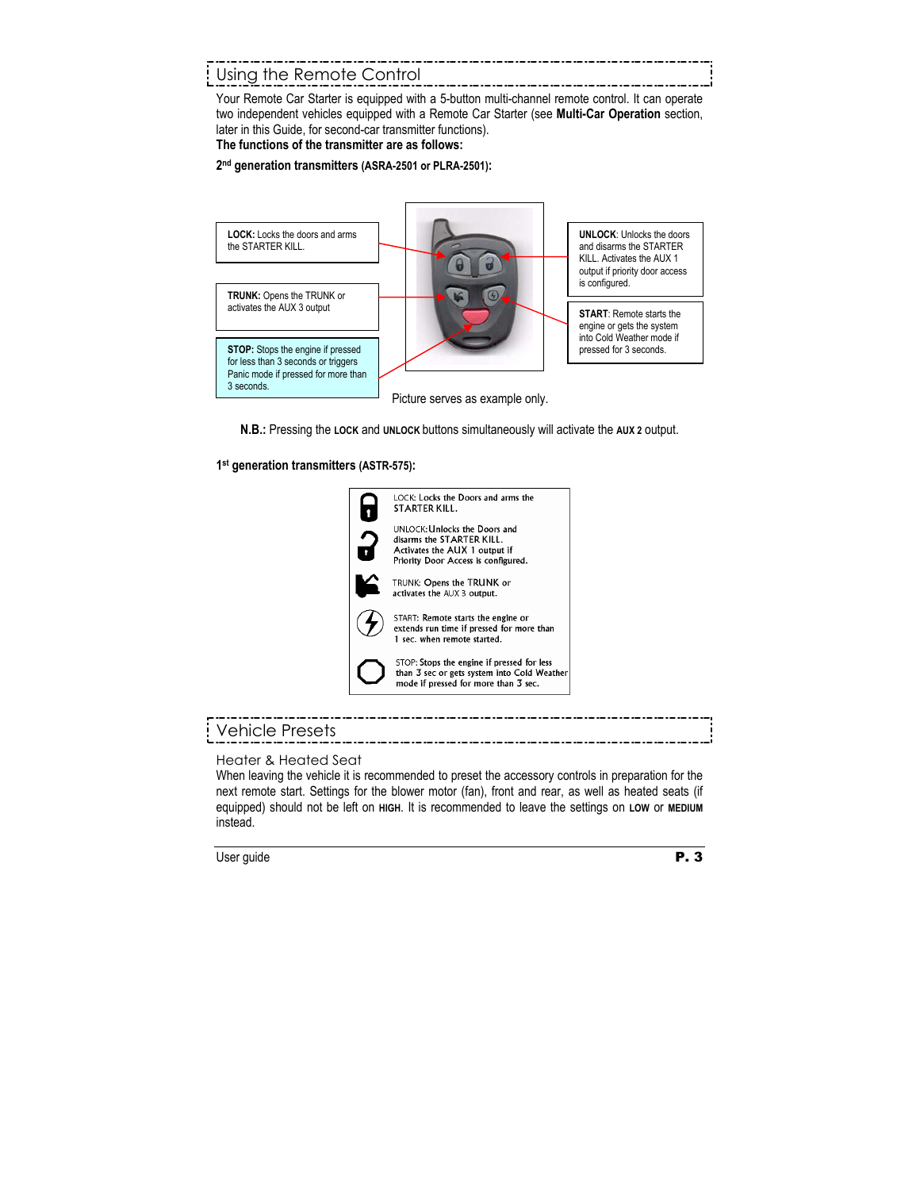# Using the Remote Control

Your Remote Car Starter is equipped with a 5-button multi-channel remote control. It can operate two independent vehicles equipped with a Remote Car Starter (see **Multi-Car Operation** section, later in this Guide, for second-car transmitter functions).

**The functions of the transmitter are as follows:** 

#### **2nd generation transmitters (ASRA-2501 or PLRA-2501):**



**N.B.:** Pressing the **LOCK** and **UNLOCK** buttons simultaneously will activate the **AUX 2** output.

#### **1st generation transmitters (ASTR-575):**



# Vehicle Presets

Heater & Heated Seat

When leaving the vehicle it is recommended to preset the accessory controls in preparation for the next remote start. Settings for the blower motor (fan), front and rear, as well as heated seats (if equipped) should not be left on **HIGH**. It is recommended to leave the settings on **LOW** or **MEDIUM** instead.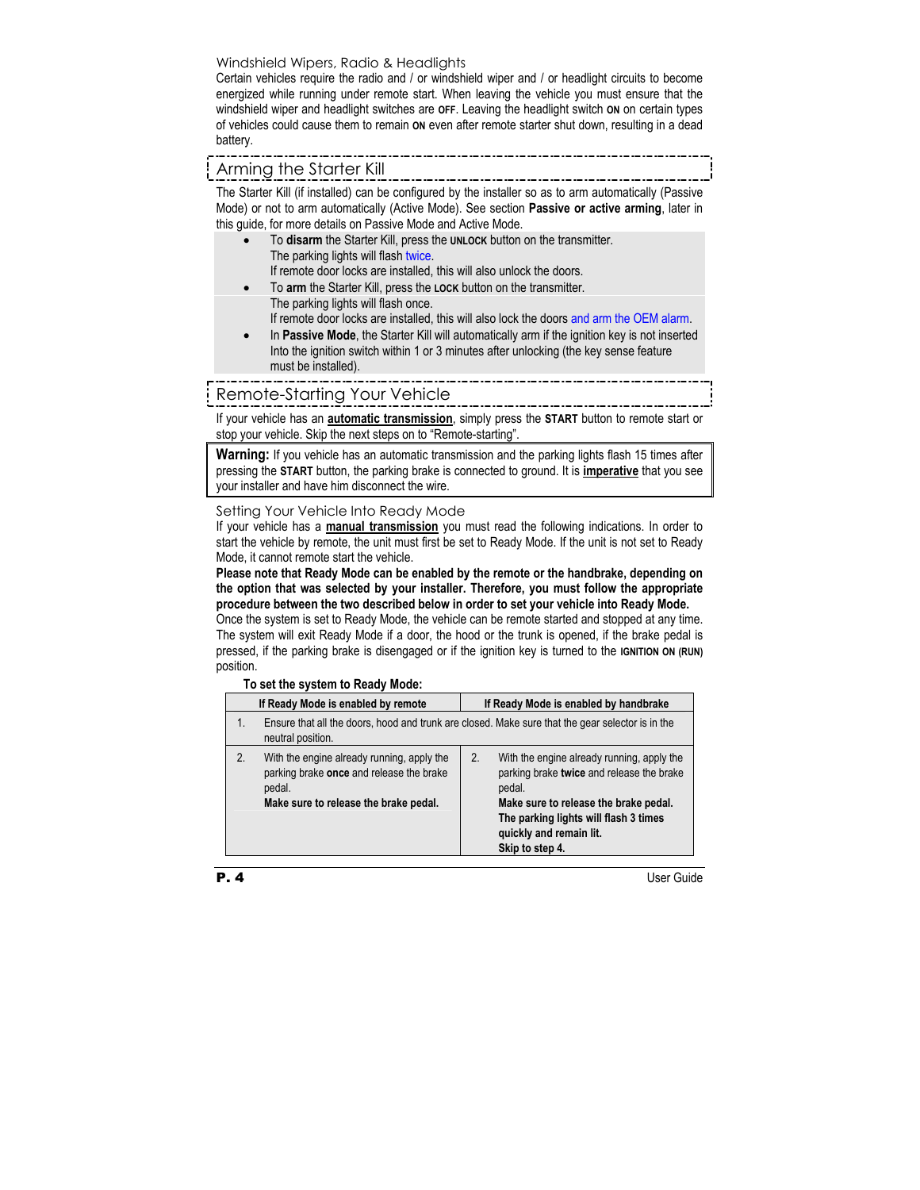## Windshield Wipers, Radio & Headlights

Certain vehicles require the radio and / or windshield wiper and / or headlight circuits to become energized while running under remote start. When leaving the vehicle you must ensure that the windshield wiper and headlight switches are **OFF**. Leaving the headlight switch **ON** on certain types of vehicles could cause them to remain **ON** even after remote starter shut down, resulting in a dead battery.

# Arming the Starter Kill

The Starter Kill (if installed) can be configured by the installer so as to arm automatically (Passive Mode) or not to arm automatically (Active Mode). See section **Passive or active arming**, later in this guide, for more details on Passive Mode and Active Mode.

- To **disarm** the Starter Kill, press the **UNLOCK** button on the transmitter. The parking lights will flash twice. If remote door locks are installed, this will also unlock the doors.
	- To **arm** the Starter Kill, press the **LOCK** button on the transmitter.
- The parking lights will flash once. If remote door locks are installed, this will also lock the doors and arm the OEM alarm.
- In **Passive Mode**, the Starter Kill will automatically arm if the ignition key is not inserted Into the ignition switch within 1 or 3 minutes after unlocking (the key sense feature must be installed).

# Remote-Starting Your Vehicle

If your vehicle has an **automatic transmission**, simply press the **START** button to remote start or stop your vehicle. Skip the next steps on to "Remote-starting".

**Warning:** If you vehicle has an automatic transmission and the parking lights flash 15 times after pressing the **START** button, the parking brake is connected to ground. It is **imperative** that you see your installer and have him disconnect the wire.

#### Setting Your Vehicle Into Ready Mode

If your vehicle has a **manual transmission** you must read the following indications. In order to start the vehicle by remote, the unit must first be set to Ready Mode. If the unit is not set to Ready Mode, it cannot remote start the vehicle.

**Please note that Ready Mode can be enabled by the remote or the handbrake, depending on the option that was selected by your installer. Therefore, you must follow the appropriate procedure between the two described below in order to set your vehicle into Ready Mode.** 

Once the system is set to Ready Mode, the vehicle can be remote started and stopped at any time. The system will exit Ready Mode if a door, the hood or the trunk is opened, if the brake pedal is pressed, if the parking brake is disengaged or if the ignition key is turned to the **IGNITION ON (RUN)** position.

|    | TO SUE THE SYSTEM TO RUGGY MOUL.                                                                                                          |                                                                                                                                                                                                                                         |  |  |
|----|-------------------------------------------------------------------------------------------------------------------------------------------|-----------------------------------------------------------------------------------------------------------------------------------------------------------------------------------------------------------------------------------------|--|--|
|    | If Ready Mode is enabled by remote                                                                                                        | If Ready Mode is enabled by handbrake                                                                                                                                                                                                   |  |  |
| 1. | neutral position.                                                                                                                         | Ensure that all the doors, hood and trunk are closed. Make sure that the gear selector is in the                                                                                                                                        |  |  |
| 2. | With the engine already running, apply the<br>parking brake once and release the brake<br>pedal.<br>Make sure to release the brake pedal. | 2.<br>With the engine already running, apply the<br>parking brake twice and release the brake<br>pedal.<br>Make sure to release the brake pedal.<br>The parking lights will flash 3 times<br>quickly and remain lit.<br>Skip to step 4. |  |  |

## **To set the system to Ready Mode:**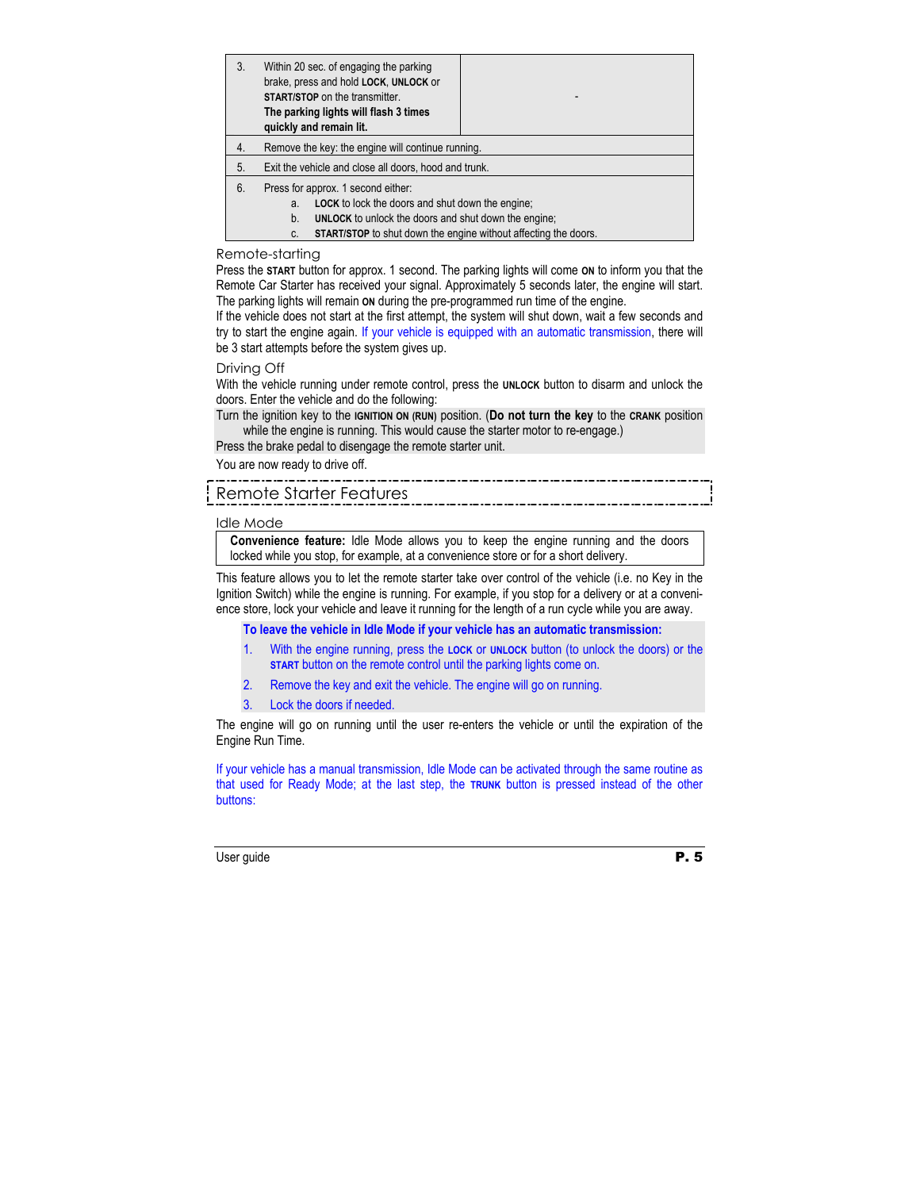| 3. | Within 20 sec. of engaging the parking<br>brake, press and hold LOCK, UNLOCK or<br><b>START/STOP</b> on the transmitter.<br>The parking lights will flash 3 times<br>quickly and remain lit.                                                             |  |
|----|----------------------------------------------------------------------------------------------------------------------------------------------------------------------------------------------------------------------------------------------------------|--|
| 4. | Remove the key: the engine will continue running.                                                                                                                                                                                                        |  |
| 5. | Exit the vehicle and close all doors, hood and trunk.                                                                                                                                                                                                    |  |
| 6. | Press for approx. 1 second either:<br><b>LOCK</b> to lock the doors and shut down the engine;<br>a.<br><b>UNLOCK</b> to unlock the doors and shut down the engine:<br>b.<br><b>START/STOP</b> to shut down the engine without affecting the doors.<br>C. |  |

### Remote-starting

Press the **START** button for approx. 1 second. The parking lights will come **ON** to inform you that the Remote Car Starter has received your signal. Approximately 5 seconds later, the engine will start. The parking lights will remain **ON** during the pre-programmed run time of the engine.

If the vehicle does not start at the first attempt, the system will shut down, wait a few seconds and try to start the engine again. If your vehicle is equipped with an automatic transmission, there will be 3 start attempts before the system gives up.

#### Driving Off

With the vehicle running under remote control, press the **UNLOCK** button to disarm and unlock the doors. Enter the vehicle and do the following:

Turn the ignition key to the **IGNITION ON (RUN)** position. (**Do not turn the key** to the **CRANK** position while the engine is running. This would cause the starter motor to re-engage.)

Press the brake pedal to disengage the remote starter unit.

You are now ready to drive off.

# Remote Starter Features

#### Idle Mode

**Convenience feature:** Idle Mode allows you to keep the engine running and the doors locked while you stop, for example, at a convenience store or for a short delivery.

This feature allows you to let the remote starter take over control of the vehicle (i.e. no Key in the Ignition Switch) while the engine is running. For example, if you stop for a delivery or at a convenience store, lock your vehicle and leave it running for the length of a run cycle while you are away.

**To leave the vehicle in Idle Mode if your vehicle has an automatic transmission:** 

- 1. With the engine running, press the **LOCK** or **UNLOCK** button (to unlock the doors) or the **START** button on the remote control until the parking lights come on.
- 2. Remove the key and exit the vehicle. The engine will go on running.
- 3. Lock the doors if needed.

The engine will go on running until the user re-enters the vehicle or until the expiration of the Engine Run Time.

If your vehicle has a manual transmission, Idle Mode can be activated through the same routine as that used for Ready Mode; at the last step, the **TRUNK** button is pressed instead of the other buttons: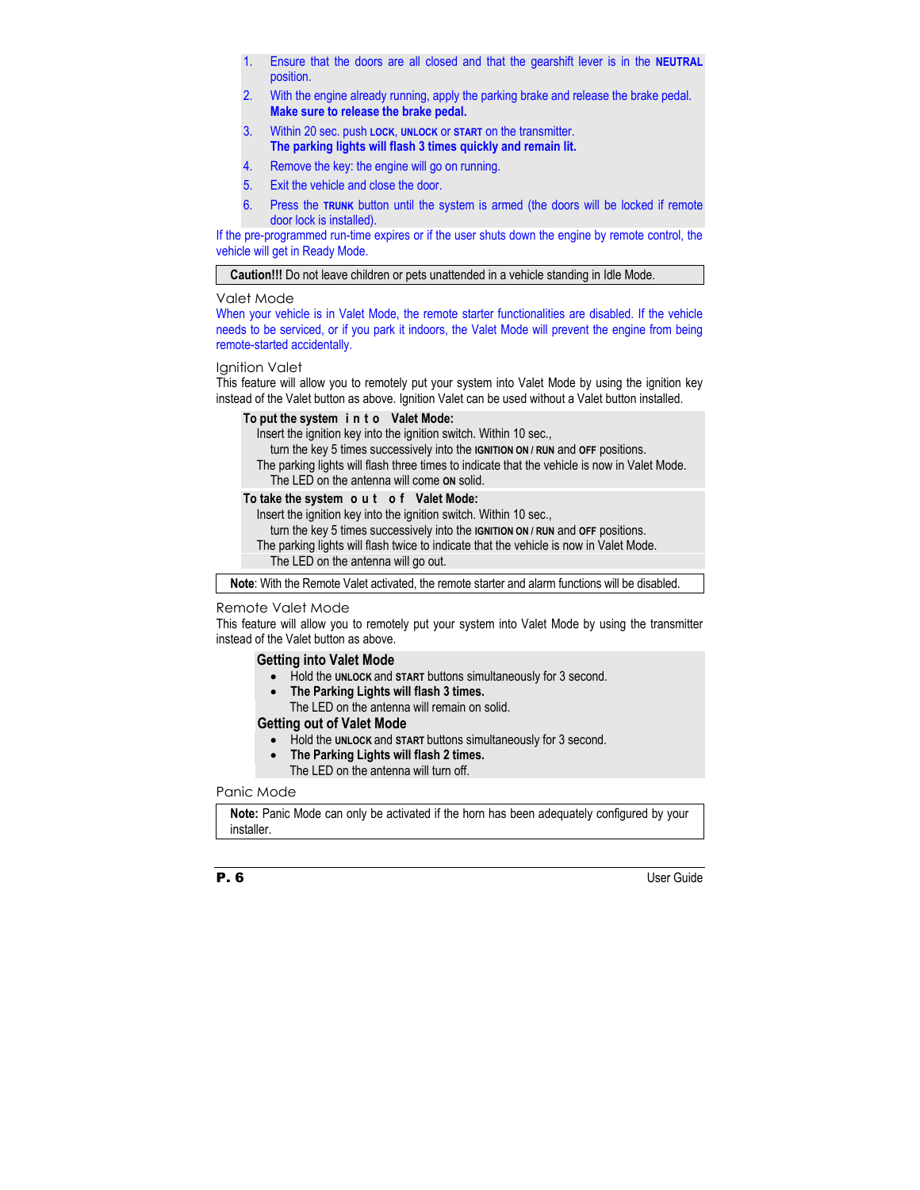- 1. Ensure that the doors are all closed and that the gearshift lever is in the **NEUTRAL** position.
- 2. With the engine already running, apply the parking brake and release the brake pedal. **Make sure to release the brake pedal.**
- 3. Within 20 sec. push **LOCK**, **UNLOCK** or **START** on the transmitter. **The parking lights will flash 3 times quickly and remain lit.**
- 4. Remove the key: the engine will go on running.
- 5. Exit the vehicle and close the door.
- 6. Press the **TRUNK** button until the system is armed (the doors will be locked if remote door lock is installed).

If the pre-programmed run-time expires or if the user shuts down the engine by remote control, the vehicle will get in Ready Mode.

**Caution!!!** Do not leave children or pets unattended in a vehicle standing in Idle Mode.

#### Valet Mode

When your vehicle is in Valet Mode, the remote starter functionalities are disabled. If the vehicle needs to be serviced, or if you park it indoors, the Valet Mode will prevent the engine from being remote-started accidentally.

#### Ignition Valet

This feature will allow you to remotely put your system into Valet Mode by using the ignition key instead of the Valet button as above. Ignition Valet can be used without a Valet button installed.

#### **To put the system i n t o Valet Mode:**

Insert the ignition key into the ignition switch. Within 10 sec.,

turn the key 5 times successively into the **IGNITION ON / RUN** and **OFF** positions.

The parking lights will flash three times to indicate that the vehicle is now in Valet Mode. The LED on the antenna will come **ON** solid.

#### **To take the system o u t o f Valet Mode:**

Insert the ignition key into the ignition switch. Within 10 sec.,

turn the key 5 times successively into the **IGNITION ON / RUN** and **OFF** positions.

The parking lights will flash twice to indicate that the vehicle is now in Valet Mode.

The LED on the antenna will go out.

**Note**: With the Remote Valet activated, the remote starter and alarm functions will be disabled.

#### Remote Valet Mode

This feature will allow you to remotely put your system into Valet Mode by using the transmitter instead of the Valet button as above.

## **Getting into Valet Mode**

- Hold the **UNLOCK** and **START** buttons simultaneously for 3 second.
- **The Parking Lights will flash 3 times.**  The LED on the antenna will remain on solid.

#### **Getting out of Valet Mode**

- Hold the **UNLOCK** and **START** buttons simultaneously for 3 second.
- **The Parking Lights will flash 2 times.** 
	- The LED on the antenna will turn off.

### Panic Mode

**Note:** Panic Mode can only be activated if the horn has been adequately configured by your installer.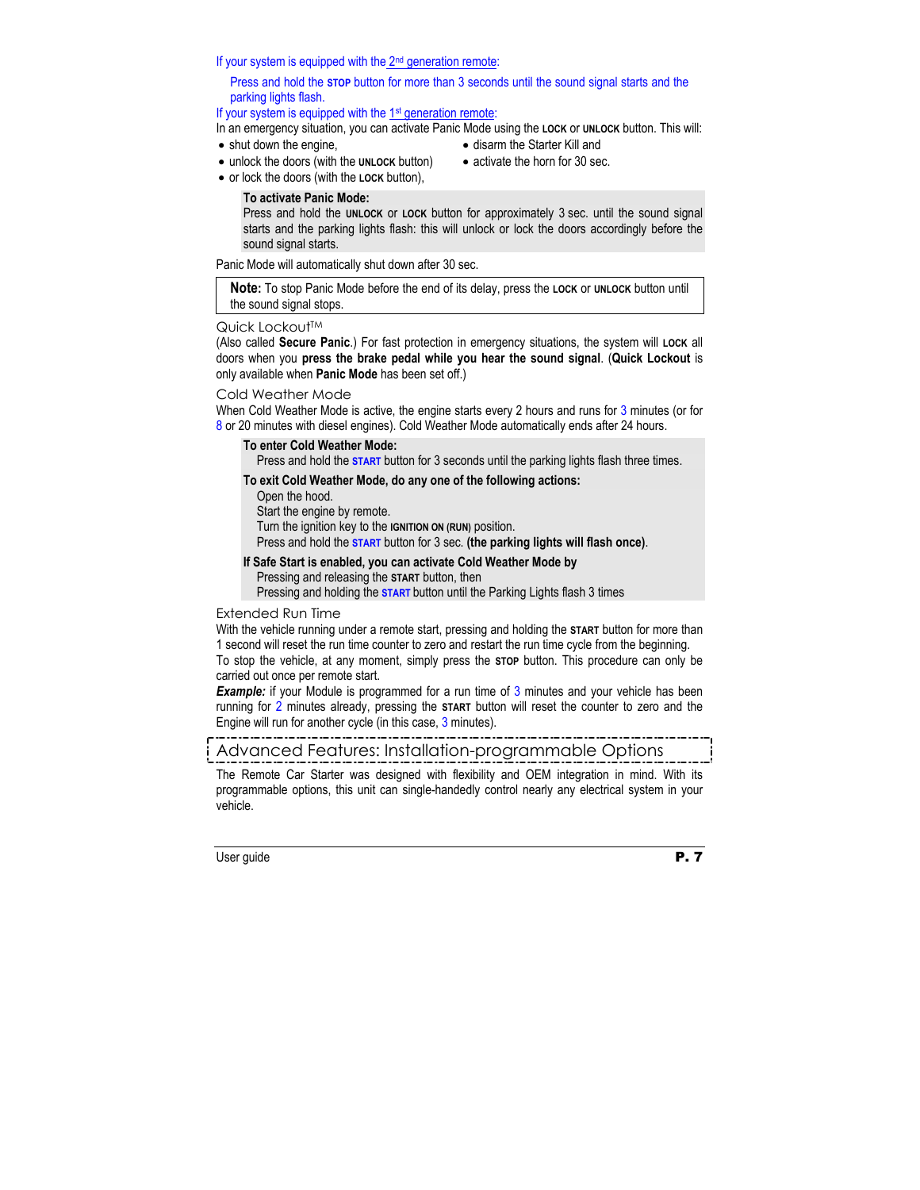Press and hold the **UNLOCK** or **LOCK** button for approximately 3 sec. until the sound signal starts and the parking lights flash: this will unlock or lock the doors accordingly before the sound signal starts.

**To activate Panic Mode:** 

parking lights flash.

• shut down the engine,

Panic Mode will automatically shut down after 30 sec.

• unlock the doors (with the **UNLOCK** button) • or lock the doors (with the **LOCK** button),

If your system is equipped with the  $2<sup>nd</sup>$  generation remote:

If your system is equipped with the 1<sup>st</sup> generation remote:

**Note:** To stop Panic Mode before the end of its delay, press the **LOCK** or **UNLOCK** button until the sound signal stops.

Press and hold the **STOP** button for more than 3 seconds until the sound signal starts and the

In an emergency situation, you can activate Panic Mode using the **LOCK** or **UNLOCK** button. This will:

#### Quick Lockout™

(Also called **Secure Panic**.) For fast protection in emergency situations, the system will **LOCK** all doors when you **press the brake pedal while you hear the sound signal**. (**Quick Lockout** is only available when **Panic Mode** has been set off.)

#### Cold Weather Mode

When Cold Weather Mode is active, the engine starts every 2 hours and runs for 3 minutes (or for 8 or 20 minutes with diesel engines). Cold Weather Mode automatically ends after 24 hours.

#### **To enter Cold Weather Mode:**

Press and hold the **START** button for 3 seconds until the parking lights flash three times.

#### **To exit Cold Weather Mode, do any one of the following actions:**

Open the hood. Start the engine by remote. Turn the ignition key to the **IGNITION ON (RUN)** position. Press and hold the **START** button for 3 sec. **(the parking lights will flash once)**.

#### **If Safe Start is enabled, you can activate Cold Weather Mode by**

Pressing and releasing the **START** button, then

Pressing and holding the **START** button until the Parking Lights flash 3 times

#### Extended Run Time

With the vehicle running under a remote start, pressing and holding the **START** button for more than 1 second will reset the run time counter to zero and restart the run time cycle from the beginning.

To stop the vehicle, at any moment, simply press the **STOP** button. This procedure can only be carried out once per remote start.

**Example:** if your Module is programmed for a run time of 3 minutes and your vehicle has been running for 2 minutes already, pressing the **START** button will reset the counter to zero and the Engine will run for another cycle (in this case, 3 minutes).

# Advanced Features: Installation-programmable Options

The Remote Car Starter was designed with flexibility and OEM integration in mind. With its programmable options, this unit can single-handedly control nearly any electrical system in your vehicle.

- disarm the Starter Kill and
- activate the horn for 30 sec.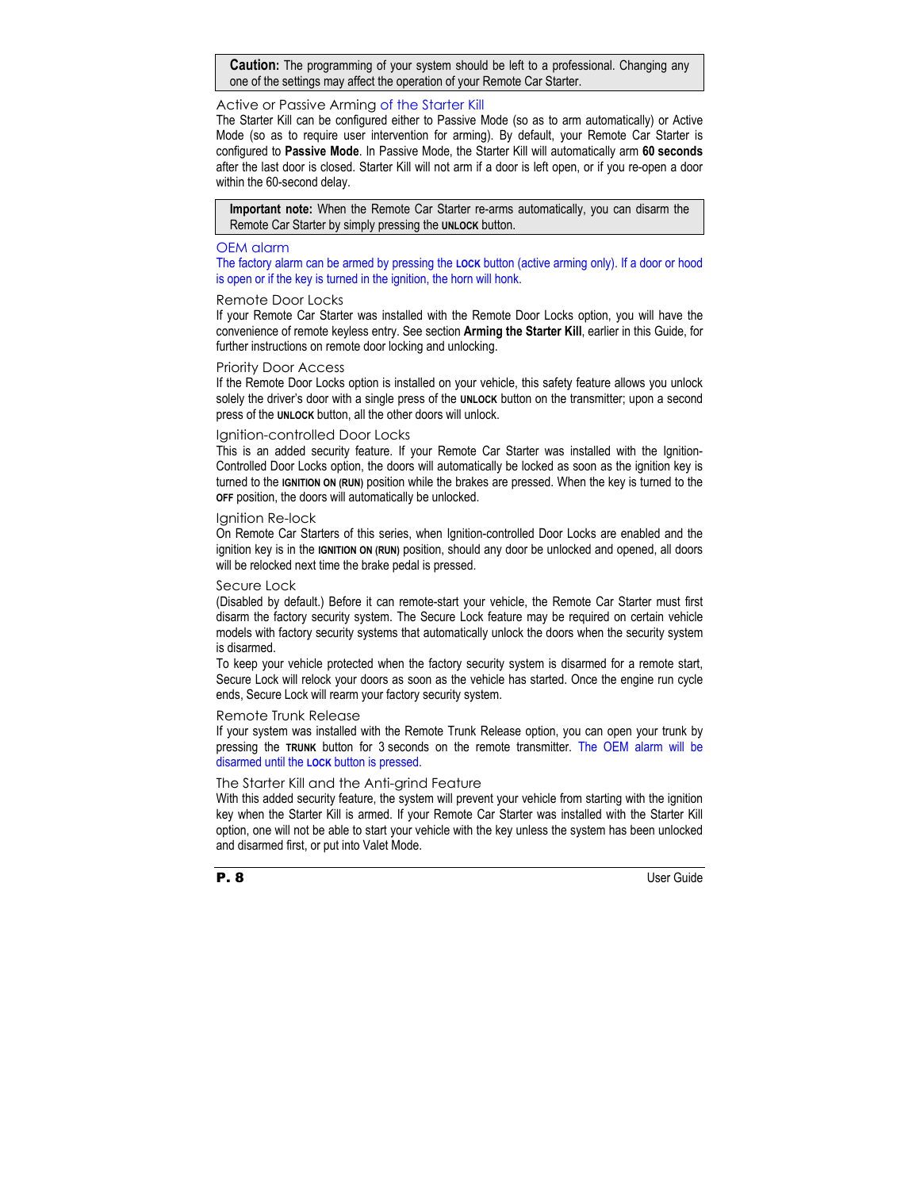**Caution:** The programming of your system should be left to a professional. Changing any one of the settings may affect the operation of your Remote Car Starter.

#### Active or Passive Arming of the Starter Kill

The Starter Kill can be configured either to Passive Mode (so as to arm automatically) or Active Mode (so as to require user intervention for arming). By default, your Remote Car Starter is configured to **Passive Mode**. In Passive Mode, the Starter Kill will automatically arm **60 seconds**  after the last door is closed. Starter Kill will not arm if a door is left open, or if you re-open a door within the 60-second delay.

**Important note:** When the Remote Car Starter re-arms automatically, you can disarm the Remote Car Starter by simply pressing the **UNLOCK** button.

### OEM alarm

The factory alarm can be armed by pressing the **LOCK** button (active arming only). If a door or hood is open or if the key is turned in the ignition, the horn will honk.

#### Remote Door Locks

If your Remote Car Starter was installed with the Remote Door Locks option, you will have the convenience of remote keyless entry. See section **Arming the Starter Kill**, earlier in this Guide, for further instructions on remote door locking and unlocking.

#### Priority Door Access

If the Remote Door Locks option is installed on your vehicle, this safety feature allows you unlock solely the driver's door with a single press of the **UNLOCK** button on the transmitter; upon a second press of the **UNLOCK** button, all the other doors will unlock.

#### Ignition-controlled Door Locks

This is an added security feature. If your Remote Car Starter was installed with the Ignition-Controlled Door Locks option, the doors will automatically be locked as soon as the ignition key is turned to the **IGNITION ON (RUN)** position while the brakes are pressed. When the key is turned to the **OFF** position, the doors will automatically be unlocked.

#### Ignition Re-lock

On Remote Car Starters of this series, when Ignition-controlled Door Locks are enabled and the ignition key is in the **IGNITION ON (RUN)** position, should any door be unlocked and opened, all doors will be relocked next time the brake pedal is pressed.

#### Secure Lock

(Disabled by default.) Before it can remote-start your vehicle, the Remote Car Starter must first disarm the factory security system. The Secure Lock feature may be required on certain vehicle models with factory security systems that automatically unlock the doors when the security system is disarmed.

To keep your vehicle protected when the factory security system is disarmed for a remote start, Secure Lock will relock your doors as soon as the vehicle has started. Once the engine run cycle ends, Secure Lock will rearm your factory security system.

#### Remote Trunk Release

If your system was installed with the Remote Trunk Release option, you can open your trunk by pressing the **TRUNK** button for 3 seconds on the remote transmitter. The OEM alarm will be disarmed until the **LOCK** button is pressed.

#### The Starter Kill and the Anti-grind Feature

With this added security feature, the system will prevent your vehicle from starting with the ignition key when the Starter Kill is armed. If your Remote Car Starter was installed with the Starter Kill option, one will not be able to start your vehicle with the key unless the system has been unlocked and disarmed first, or put into Valet Mode.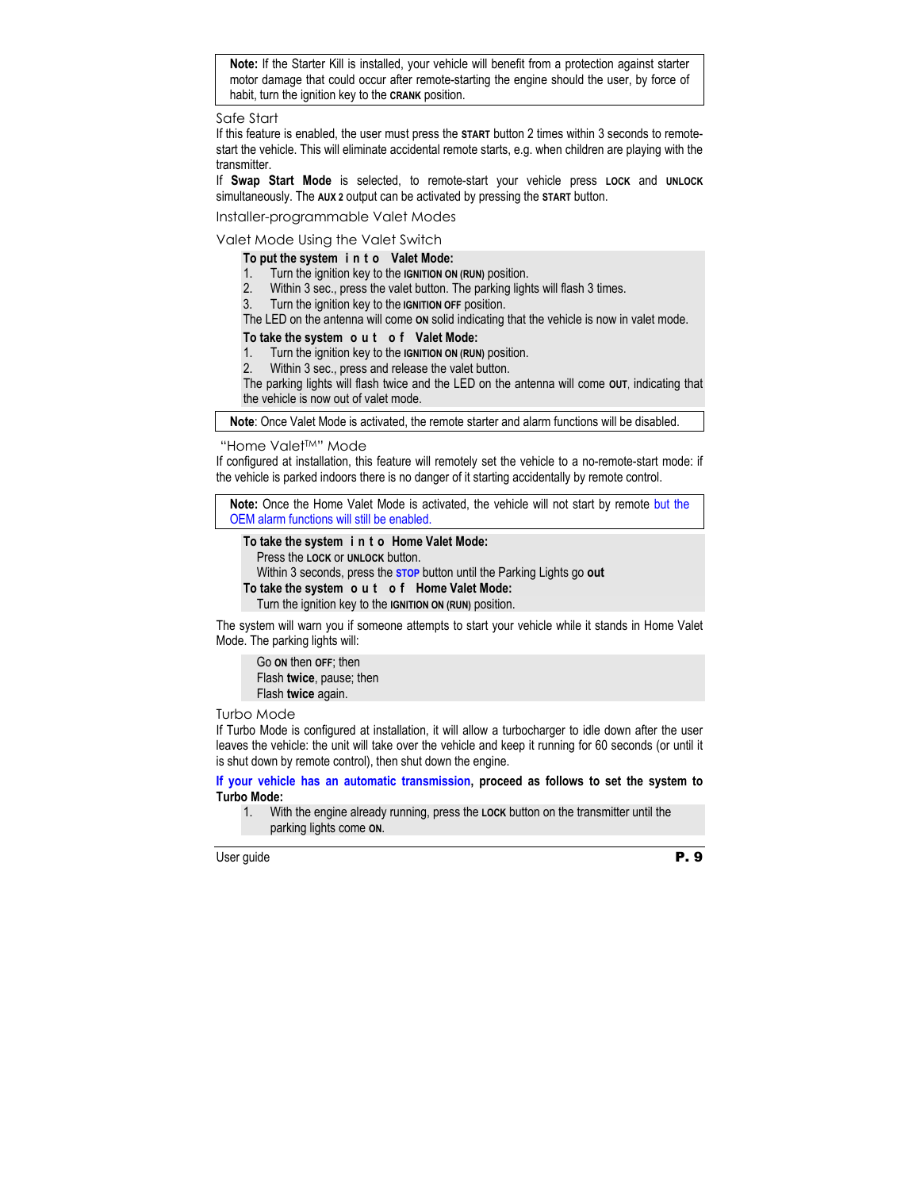**Note:** If the Starter Kill is installed, your vehicle will benefit from a protection against starter motor damage that could occur after remote-starting the engine should the user, by force of habit, turn the ignition key to the **CRANK** position.

Safe Start

If this feature is enabled, the user must press the **START** button 2 times within 3 seconds to remotestart the vehicle. This will eliminate accidental remote starts, e.g. when children are playing with the transmitter.

If **Swap Start Mode** is selected, to remote-start your vehicle press **LOCK** and **UNLOCK** simultaneously. The **AUX 2** output can be activated by pressing the **START** button.

Installer-programmable Valet Modes

Valet Mode Using the Valet Switch

## **To put the system i n t o Valet Mode:**

- 1. Turn the ignition key to the **IGNITION ON (RUN)** position.
- 2. Within 3 sec., press the valet button. The parking lights will flash 3 times.
- 3. Turn the ignition key to the **IGNITION OFF** position.

The LED on the antenna will come **ON** solid indicating that the vehicle is now in valet mode.

## **To take the system o u t o f Valet Mode:**

- 1. Turn the ignition key to the **IGNITION ON (RUN)** position.
- 2. Within 3 sec., press and release the valet button.

The parking lights will flash twice and the LED on the antenna will come **OUT**, indicating that the vehicle is now out of valet mode.

**Note**: Once Valet Mode is activated, the remote starter and alarm functions will be disabled.

"Home ValetTM" Mode

If configured at installation, this feature will remotely set the vehicle to a no-remote-start mode: if the vehicle is parked indoors there is no danger of it starting accidentally by remote control.

**Note:** Once the Home Valet Mode is activated, the vehicle will not start by remote but the OEM alarm functions will still be enabled.

## **To take the system i n t o Home Valet Mode:**

Press the **LOCK** or **UNLOCK** button.

Within 3 seconds, press the **STOP** button until the Parking Lights go **out**

## **To take the system o u t o f Home Valet Mode:**

Turn the ignition key to the **IGNITION ON (RUN)** position.

The system will warn you if someone attempts to start your vehicle while it stands in Home Valet Mode. The parking lights will:

Go **ON** then **OFF**; then Flash **twice**, pause; then Flash **twice** again.

## Turbo Mode

If Turbo Mode is configured at installation, it will allow a turbocharger to idle down after the user leaves the vehicle: the unit will take over the vehicle and keep it running for 60 seconds (or until it is shut down by remote control), then shut down the engine.

**If your vehicle has an automatic transmission, proceed as follows to set the system to Turbo Mode:** 

1. With the engine already running, press the **LOCK** button on the transmitter until the parking lights come **ON**.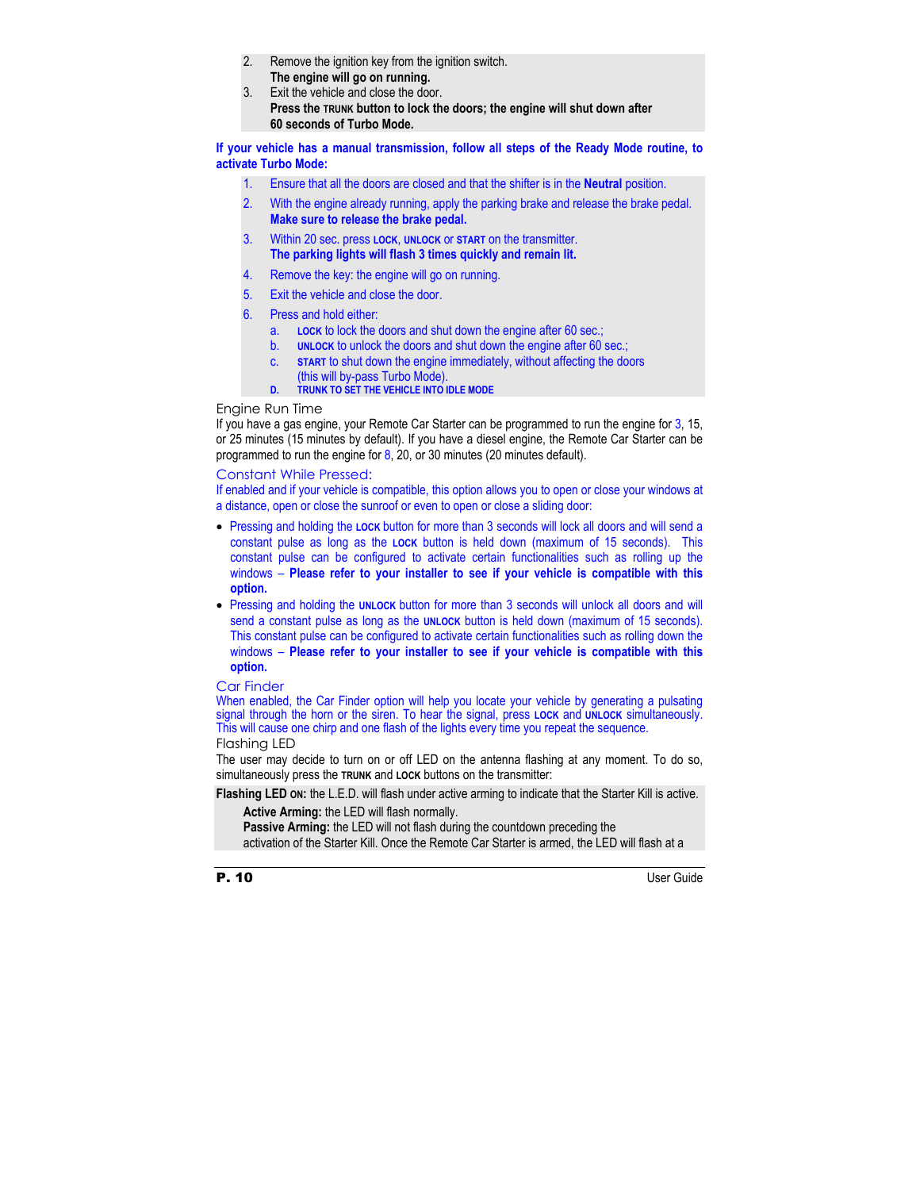- 2. Remove the ignition key from the ignition switch. **The engine will go on running.**
- 3. Exit the vehicle and close the door. **Press the TRUNK button to lock the doors; the engine will shut down after 60 seconds of Turbo Mode.**

**If your vehicle has a manual transmission, follow all steps of the Ready Mode routine, to activate Turbo Mode:** 

- 1. Ensure that all the doors are closed and that the shifter is in the **Neutral** position.
- 2. With the engine already running, apply the parking brake and release the brake pedal. **Make sure to release the brake pedal.**
- 3. Within 20 sec. press **LOCK**, **UNLOCK** or **START** on the transmitter. **The parking lights will flash 3 times quickly and remain lit.**
- 4. Remove the key: the engine will go on running.
- 5. Exit the vehicle and close the door.
- 6. Press and hold either:
	- a. **LOCK** to lock the doors and shut down the engine after 60 sec.;
	- b. **UNLOCK** to unlock the doors and shut down the engine after 60 sec.;
	- c. **START** to shut down the engine immediately, without affecting the doors (this will by-pass Turbo Mode).
	- **D. TRUNK TO SET THE VEHICLE INTO IDLE MODE**

### Engine Run Time

If you have a gas engine, your Remote Car Starter can be programmed to run the engine for 3, 15, or 25 minutes (15 minutes by default). If you have a diesel engine, the Remote Car Starter can be programmed to run the engine for  $8$ , 20, or 30 minutes (20 minutes default).

#### Constant While Pressed:

If enabled and if your vehicle is compatible, this option allows you to open or close your windows at a distance, open or close the sunroof or even to open or close a sliding door:

- Pressing and holding the **LOCK** button for more than 3 seconds will lock all doors and will send a constant pulse as long as the **LOCK** button is held down (maximum of 15 seconds). This constant pulse can be configured to activate certain functionalities such as rolling up the windows – **Please refer to your installer to see if your vehicle is compatible with this option.**
- Pressing and holding the **UNLOCK** button for more than 3 seconds will unlock all doors and will send a constant pulse as long as the **UNLOCK** button is held down (maximum of 15 seconds). This constant pulse can be configured to activate certain functionalities such as rolling down the windows – **Please refer to your installer to see if your vehicle is compatible with this option.**

#### Car Finder

When enabled, the Car Finder option will help you locate your vehicle by generating a pulsating signal through the horn or the siren. To hear the signal, press **LOCK** and **UNLOCK** simultaneously. This will cause one chirp and one flash of the lights every time you repeat the sequence.

## Flashing LED

The user may decide to turn on or off LED on the antenna flashing at any moment. To do so, simultaneously press the **TRUNK** and **LOCK** buttons on the transmitter:

**Flashing LED ON:** the L.E.D. will flash under active arming to indicate that the Starter Kill is active.

**Active Arming:** the LED will flash normally.

**Passive Arming:** the LED will not flash during the countdown preceding the activation of the Starter Kill. Once the Remote Car Starter is armed, the LED will flash at a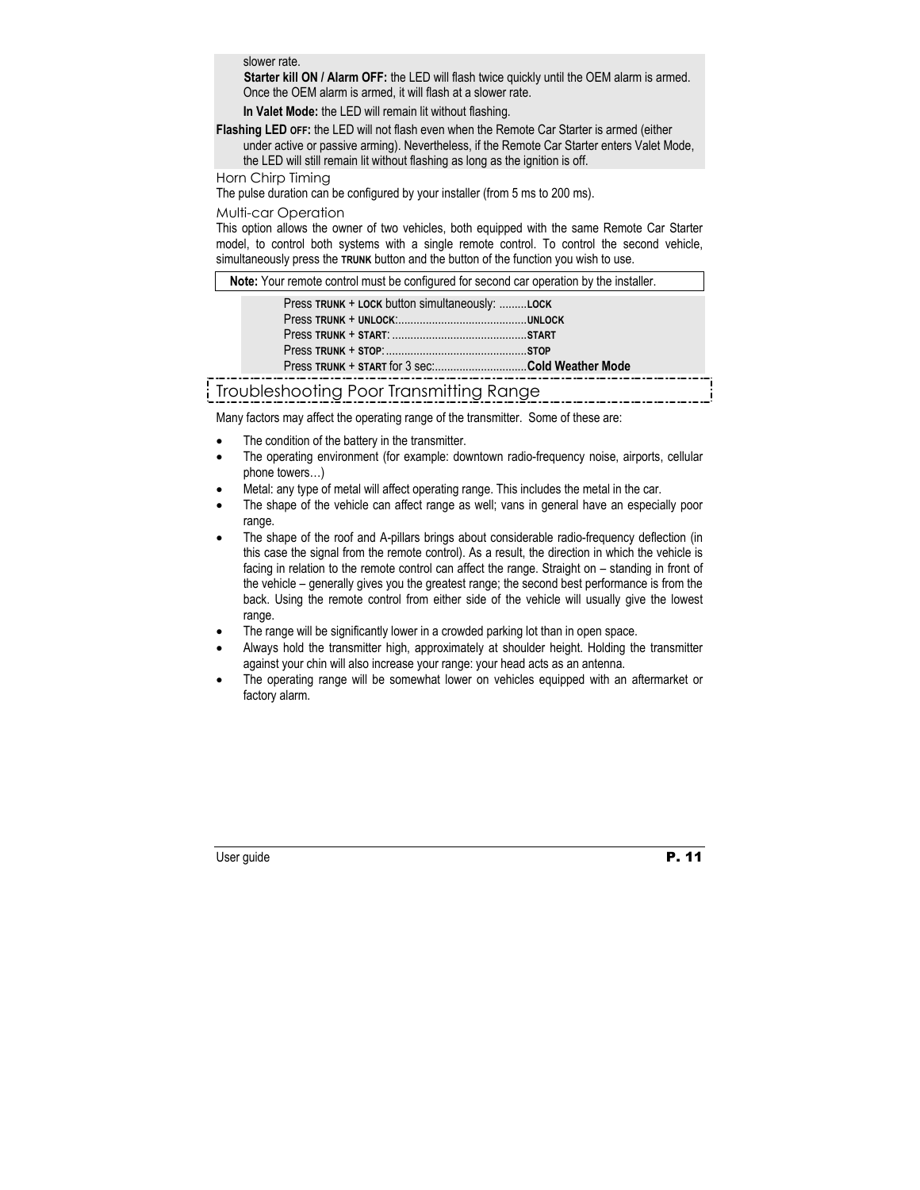slower rate.

 **Starter kill ON / Alarm OFF:** the LED will flash twice quickly until the OEM alarm is armed. Once the OEM alarm is armed, it will flash at a slower rate.

**In Valet Mode:** the LED will remain lit without flashing.

**Flashing LED OFF:** the LED will not flash even when the Remote Car Starter is armed (either under active or passive arming). Nevertheless, if the Remote Car Starter enters Valet Mode,

the LED will still remain lit without flashing as long as the ignition is off.

#### Horn Chirp Timing

The pulse duration can be configured by your installer (from 5 ms to 200 ms).

### Multi-car Operation

This option allows the owner of two vehicles, both equipped with the same Remote Car Starter model, to control both systems with a single remote control. To control the second vehicle, simultaneously press the **TRUNK** button and the button of the function you wish to use.

**Note:** Your remote control must be configured for second car operation by the installer.

| Press TRUNK + LOCK button simultaneously: LOCK  |  |
|-------------------------------------------------|--|
|                                                 |  |
|                                                 |  |
|                                                 |  |
| Press TRUNK + START for 3 sec:Cold Weather Mode |  |
|                                                 |  |

# Troubleshooting Poor Transmitting Range

Many factors may affect the operating range of the transmitter. Some of these are:

- The condition of the battery in the transmitter.
- The operating environment (for example: downtown radio-frequency noise, airports, cellular phone towers…)
- Metal: any type of metal will affect operating range. This includes the metal in the car.
- The shape of the vehicle can affect range as well; vans in general have an especially poor range.
- The shape of the roof and A-pillars brings about considerable radio-frequency deflection (in this case the signal from the remote control). As a result, the direction in which the vehicle is facing in relation to the remote control can affect the range. Straight on – standing in front of the vehicle – generally gives you the greatest range; the second best performance is from the back. Using the remote control from either side of the vehicle will usually give the lowest range.
- The range will be significantly lower in a crowded parking lot than in open space.
- Always hold the transmitter high, approximately at shoulder height. Holding the transmitter against your chin will also increase your range: your head acts as an antenna.
- The operating range will be somewhat lower on vehicles equipped with an aftermarket or factory alarm.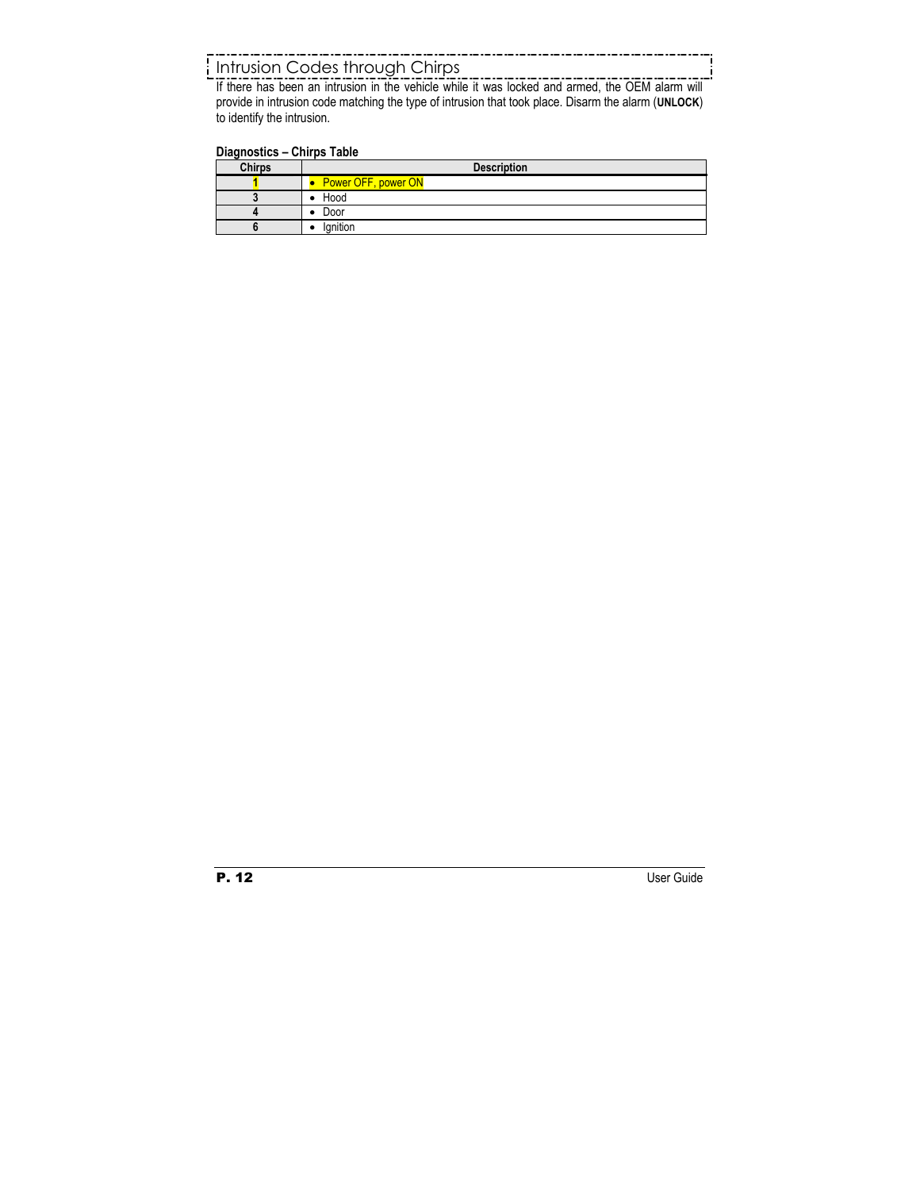# Intrusion Codes through Chirps

If there has been an intrusion in the vehicle while it was locked and armed, the OEM alarm will provide in intrusion code matching the type of intrusion that took place. Disarm the alarm (**UNLOCK**) to identify the intrusion.

## **Diagnostics – Chirps Table**

| <b>Chirps</b> | <b>Description</b>  |
|---------------|---------------------|
|               | Power OFF, power ON |
|               | $\bullet$ Hood      |
|               | Door                |
|               | lanition            |